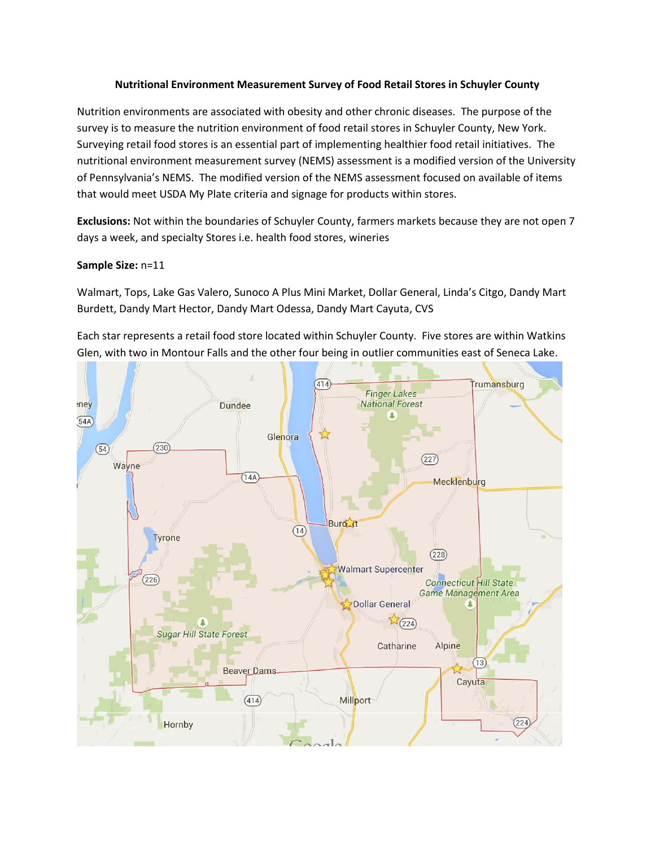## **Nutritional Environment Measurement Survey of Food Retail Stores in Schuyler County**

Nutrition environments are associated with obesity and other chronic diseases. The purpose of the survey is to measure the nutrition environment of food retail stores in Schuyler County, New York. Surveying retail food stores is an essential part of implementing healthier food retail initiatives. The nutritional environment measurement survey (NEMS) assessment is a modified version of the University of Pennsylvania's NEMS. The modified version of the NEMS assessment focused on available of items that would meet USDA My Plate criteria and signage for products within stores.

**Exclusions:** Not within the boundaries of Schuyler County, farmers markets because they are not open 7 days a week, and specialty Stores i.e. health food stores, wineries

## **Sample Size:** n=11

Walmart, Tops, Lake Gas Valero, Sunoco A Plus Mini Market, Dollar General, Linda's Citgo, Dandy Mart Burdett, Dandy Mart Hector, Dandy Mart Odessa, Dandy Mart Cayuta, CVS

Each star represents a retail food store located within Schuyler County. Five stores are within Watkins Glen, with two in Montour Falls and the other four being in outlier communities east of Seneca Lake.

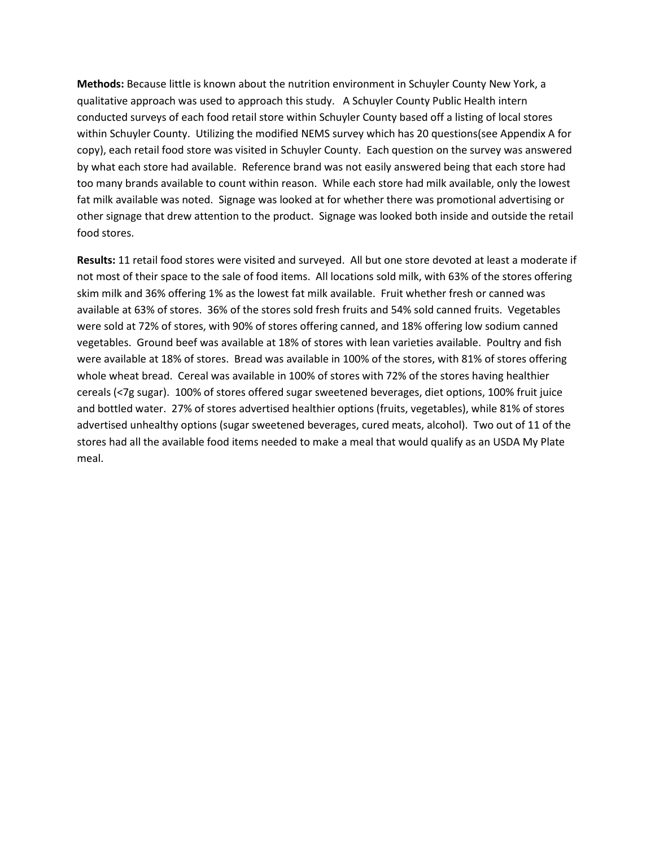**Methods:** Because little is known about the nutrition environment in Schuyler County New York, a qualitative approach was used to approach this study. A Schuyler County Public Health intern conducted surveys of each food retail store within Schuyler County based off a listing of local stores within Schuyler County. Utilizing the modified NEMS survey which has 20 questions(see Appendix A for copy), each retail food store was visited in Schuyler County. Each question on the survey was answered by what each store had available. Reference brand was not easily answered being that each store had too many brands available to count within reason. While each store had milk available, only the lowest fat milk available was noted. Signage was looked at for whether there was promotional advertising or other signage that drew attention to the product. Signage was looked both inside and outside the retail food stores.

**Results:** 11 retail food stores were visited and surveyed. All but one store devoted at least a moderate if not most of their space to the sale of food items. All locations sold milk, with 63% of the stores offering skim milk and 36% offering 1% as the lowest fat milk available. Fruit whether fresh or canned was available at 63% of stores. 36% of the stores sold fresh fruits and 54% sold canned fruits. Vegetables were sold at 72% of stores, with 90% of stores offering canned, and 18% offering low sodium canned vegetables. Ground beef was available at 18% of stores with lean varieties available. Poultry and fish were available at 18% of stores. Bread was available in 100% of the stores, with 81% of stores offering whole wheat bread. Cereal was available in 100% of stores with 72% of the stores having healthier cereals (<7g sugar). 100% of stores offered sugar sweetened beverages, diet options, 100% fruit juice and bottled water. 27% of stores advertised healthier options (fruits, vegetables), while 81% of stores advertised unhealthy options (sugar sweetened beverages, cured meats, alcohol). Two out of 11 of the stores had all the available food items needed to make a meal that would qualify as an USDA My Plate meal.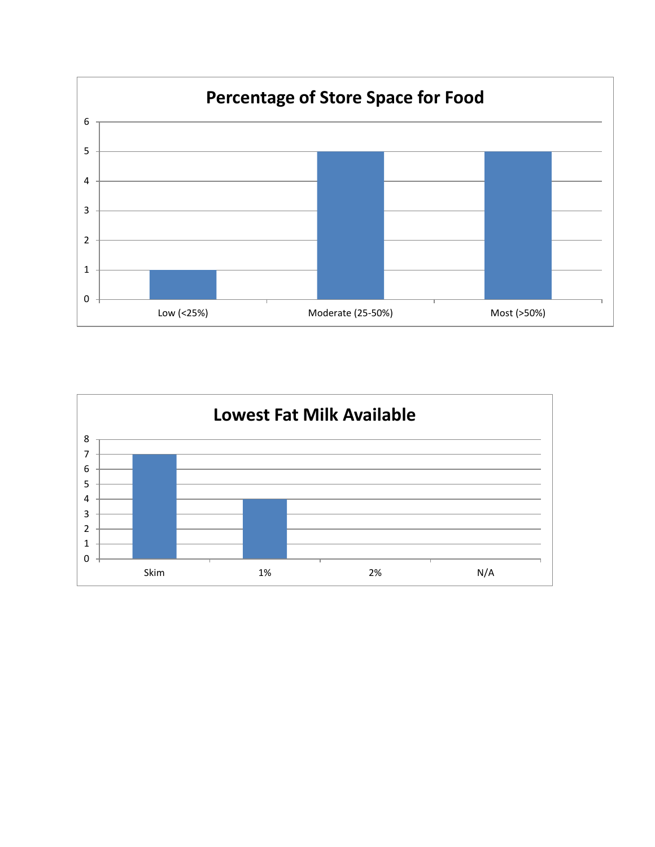

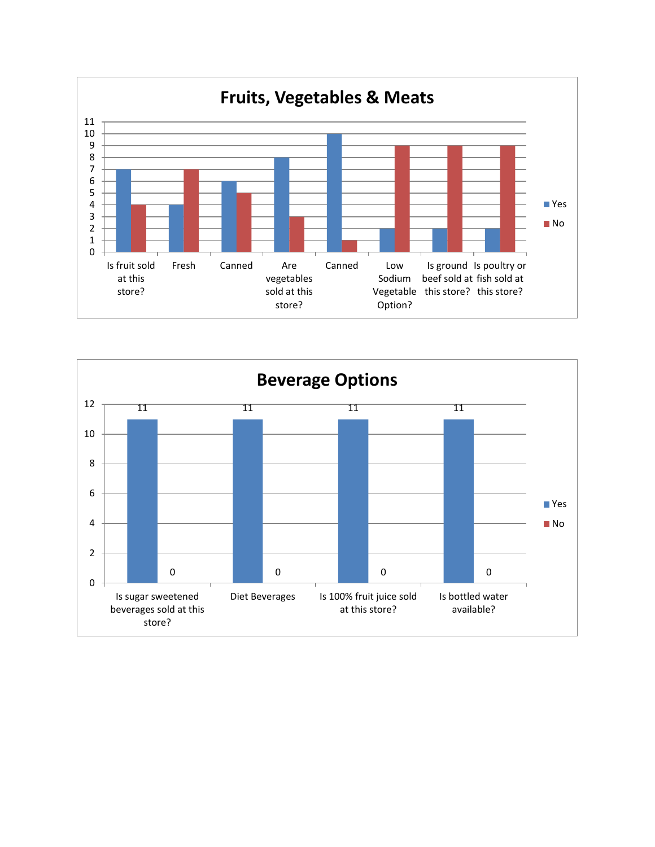

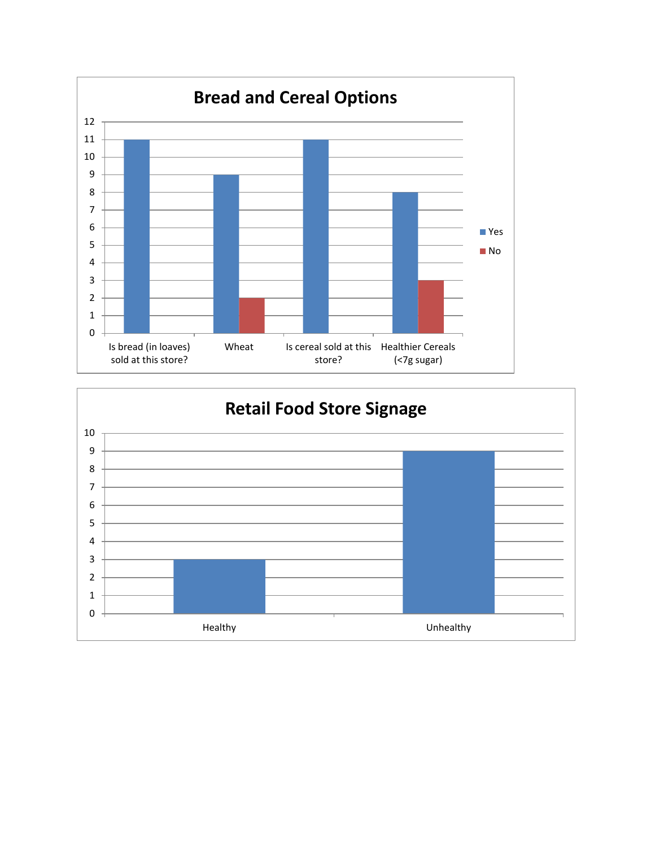

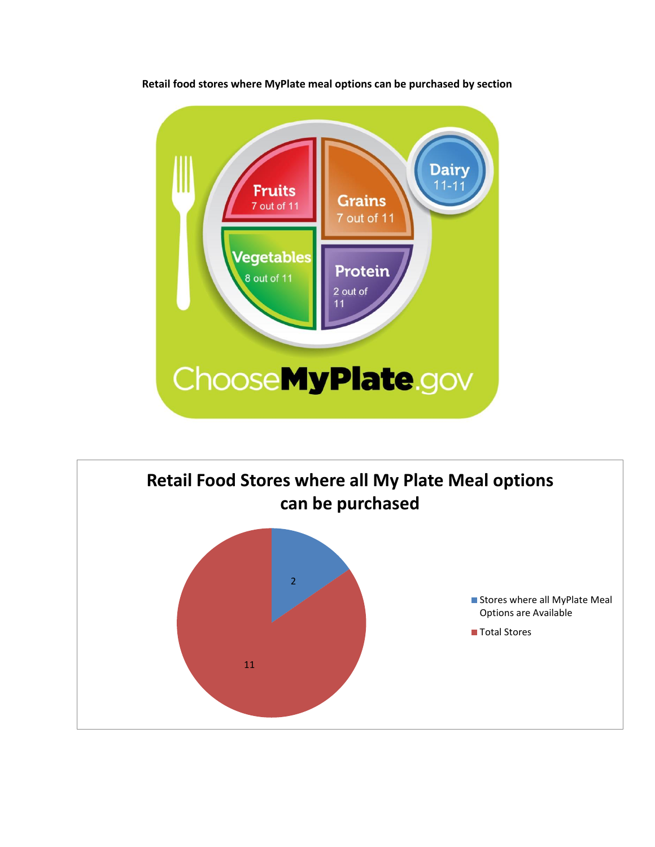

**Retail food stores where MyPlate meal options can be purchased by section**

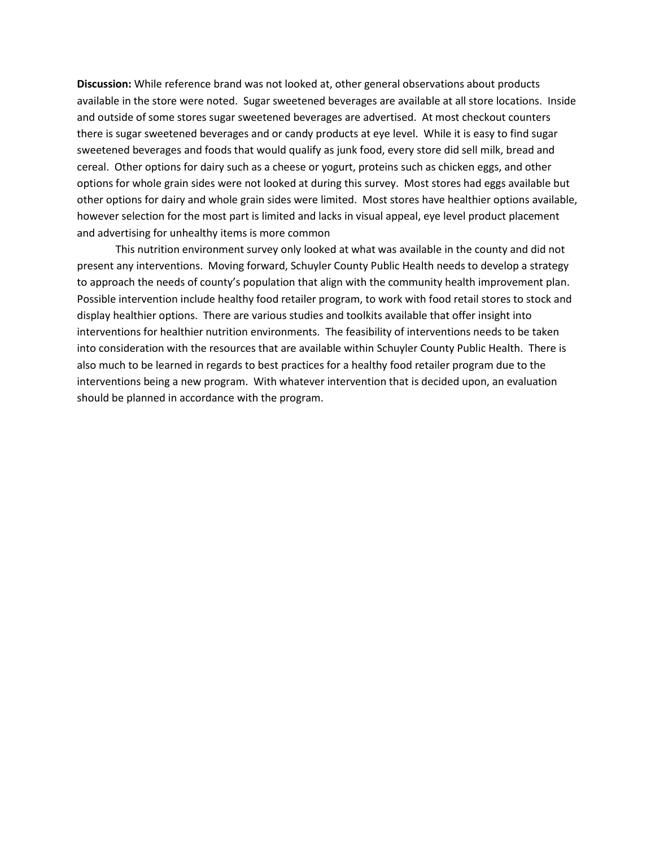**Discussion:** While reference brand was not looked at, other general observations about products available in the store were noted. Sugar sweetened beverages are available at all store locations. Inside and outside of some stores sugar sweetened beverages are advertised. At most checkout counters there is sugar sweetened beverages and or candy products at eye level. While it is easy to find sugar sweetened beverages and foods that would qualify as junk food, every store did sell milk, bread and cereal. Other options for dairy such as a cheese or yogurt, proteins such as chicken eggs, and other options for whole grain sides were not looked at during this survey. Most stores had eggs available but other options for dairy and whole grain sides were limited. Most stores have healthier options available, however selection for the most part is limited and lacks in visual appeal, eye level product placement and advertising for unhealthy items is more common

This nutrition environment survey only looked at what was available in the county and did not present any interventions. Moving forward, Schuyler County Public Health needs to develop a strategy to approach the needs of county's population that align with the community health improvement plan. Possible intervention include healthy food retailer program, to work with food retail stores to stock and display healthier options. There are various studies and toolkits available that offer insight into interventions for healthier nutrition environments. The feasibility of interventions needs to be taken into consideration with the resources that are available within Schuyler County Public Health. There is also much to be learned in regards to best practices for a healthy food retailer program due to the interventions being a new program. With whatever intervention that is decided upon, an evaluation should be planned in accordance with the program.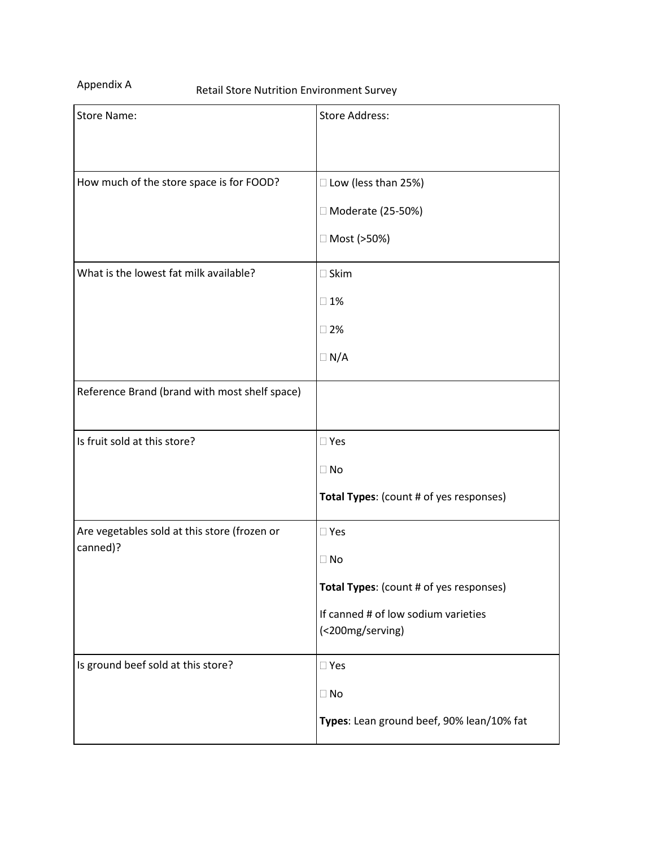Appendix A

| <b>Store Name:</b>                                       | <b>Store Address:</b>                                                                                                            |
|----------------------------------------------------------|----------------------------------------------------------------------------------------------------------------------------------|
| How much of the store space is for FOOD?                 | □ Low (less than 25%)<br>□ Moderate (25-50%)<br>□ Most (>50%)                                                                    |
| What is the lowest fat milk available?                   | $\square$ Skim<br>$\square$ 1%<br>$\square$ 2%<br>$\Box N/A$                                                                     |
| Reference Brand (brand with most shelf space)            |                                                                                                                                  |
| Is fruit sold at this store?                             | $\square$ Yes<br>$\Box$ No<br>Total Types: (count # of yes responses)                                                            |
| Are vegetables sold at this store (frozen or<br>canned)? | $\square$ Yes<br>$\Box$ No<br>Total Types: (count # of yes responses)<br>If canned # of low sodium varieties<br>(<200mg/serving) |
| Is ground beef sold at this store?                       | $\square$ Yes<br>$\Box$ No<br>Types: Lean ground beef, 90% lean/10% fat                                                          |